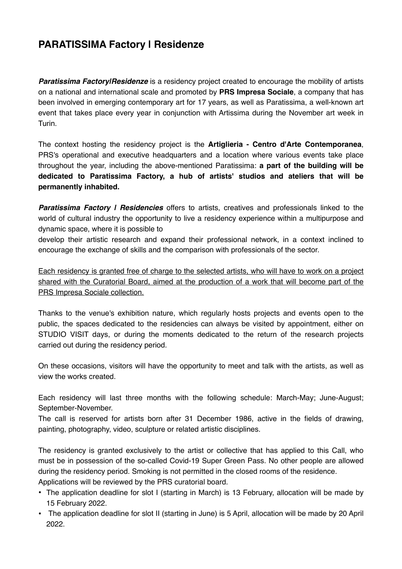# **PARATISSIMA Factory | Residenze**

**Paratissima Factory/Residenze** is a residency project created to encourage the mobility of artists on a national and international scale and promoted by **PRS Impresa Sociale**, a company that has been involved in emerging contemporary art for 17 years, as well as Paratissima, a well-known art event that takes place every year in conjunction with Artissima during the November art week in Turin.

The context hosting the residency project is the **Artiglieria - Centro d'Arte Contemporanea**, PRS's operational and executive headquarters and a location where various events take place throughout the year, including the above-mentioned Paratissima: **a part of the building will be dedicated to Paratissima Factory, a hub of artists' studios and ateliers that will be permanently inhabited.** 

*Paratissima Factory | Residencies* offers to artists, creatives and professionals linked to the world of cultural industry the opportunity to live a residency experience within a multipurpose and dynamic space, where it is possible to

develop their artistic research and expand their professional network, in a context inclined to encourage the exchange of skills and the comparison with professionals of the sector.

Each residency is granted free of charge to the selected artists, who will have to work on a project shared with the Curatorial Board, aimed at the production of a work that will become part of the PRS Impresa Sociale collection.

Thanks to the venue's exhibition nature, which regularly hosts projects and events open to the public, the spaces dedicated to the residencies can always be visited by appointment, either on STUDIO VISIT days, or during the moments dedicated to the return of the research projects carried out during the residency period.

On these occasions, visitors will have the opportunity to meet and talk with the artists, as well as view the works created.

Each residency will last three months with the following schedule: March-May; June-August; September-November.

The call is reserved for artists born after 31 December 1986, active in the fields of drawing, painting, photography, video, sculpture or related artistic disciplines.

The residency is granted exclusively to the artist or collective that has applied to this Call, who must be in possession of the so-called Covid-19 Super Green Pass. No other people are allowed during the residency period. Smoking is not permitted in the closed rooms of the residence. Applications will be reviewed by the PRS curatorial board.

- The application deadline for slot I (starting in March) is 13 February, allocation will be made by 15 February 2022.
- The application deadline for slot II (starting in June) is 5 April, allocation will be made by 20 April 2022.